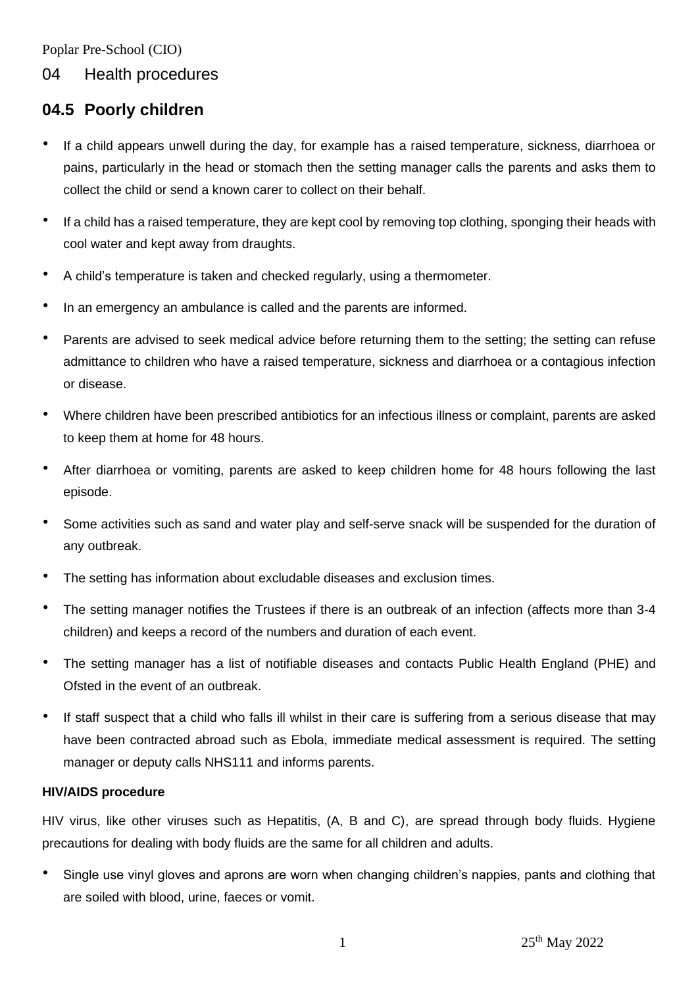Poplar Pre-School (CIO)

# 04 Health procedures

# **04.5 Poorly children**

- If a child appears unwell during the day, for example has a raised temperature, sickness, diarrhoea or pains, particularly in the head or stomach then the setting manager calls the parents and asks them to collect the child or send a known carer to collect on their behalf.
- If a child has a raised temperature, they are kept cool by removing top clothing, sponging their heads with cool water and kept away from draughts.
- A child's temperature is taken and checked regularly, using a thermometer.
- In an emergency an ambulance is called and the parents are informed.
- Parents are advised to seek medical advice before returning them to the setting; the setting can refuse admittance to children who have a raised temperature, sickness and diarrhoea or a contagious infection or disease.
- Where children have been prescribed antibiotics for an infectious illness or complaint, parents are asked to keep them at home for 48 hours.
- After diarrhoea or vomiting, parents are asked to keep children home for 48 hours following the last episode.
- Some activities such as sand and water play and self-serve snack will be suspended for the duration of any outbreak.
- The setting has information about excludable diseases and exclusion times.
- The setting manager notifies the Trustees if there is an outbreak of an infection (affects more than 3-4 children) and keeps a record of the numbers and duration of each event.
- The setting manager has a list of notifiable diseases and contacts Public Health England (PHE) and Ofsted in the event of an outbreak.
- If staff suspect that a child who falls ill whilst in their care is suffering from a serious disease that may have been contracted abroad such as Ebola, immediate medical assessment is required. The setting manager or deputy calls NHS111 and informs parents.

# **HIV/AIDS procedure**

HIV virus, like other viruses such as Hepatitis, (A, B and C), are spread through body fluids. Hygiene precautions for dealing with body fluids are the same for all children and adults.

• Single use vinyl gloves and aprons are worn when changing children's nappies, pants and clothing that are soiled with blood, urine, faeces or vomit.